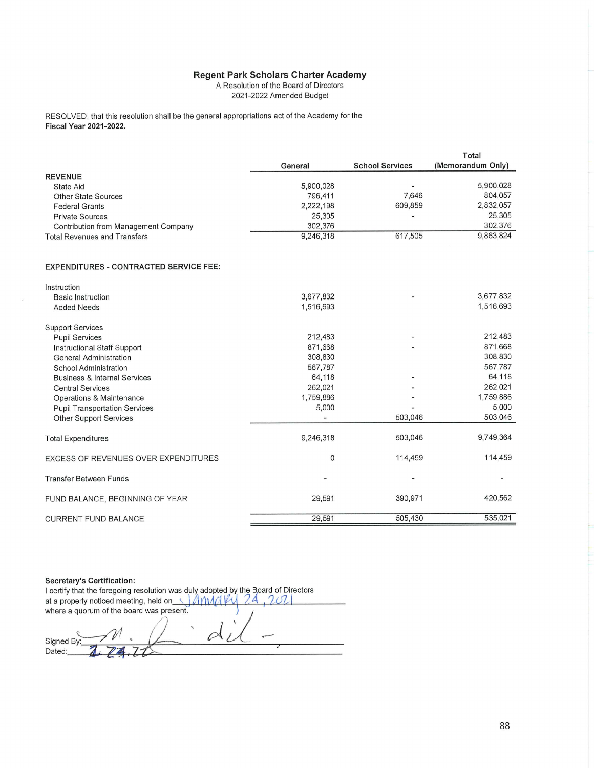## Regent Park Scholars Charter Academy<br>A Resolution of the Board of Directors

2021-2022 Amended Budget

RESOLVED, that this resolution shall be the general appropriations act of the Academy for the Fiscal Year 2021-2022.

|                                               |           |                        | <b>Total</b>      |
|-----------------------------------------------|-----------|------------------------|-------------------|
|                                               | General   | <b>School Services</b> | (Memorandum Only) |
| <b>REVENUE</b>                                |           |                        |                   |
| <b>State Aid</b>                              | 5,900,028 |                        | 5,900,028         |
| Other State Sources                           | 796,411   | 7,646                  | 804,057           |
| <b>Federal Grants</b>                         | 2,222,198 | 609,859                | 2,832,057         |
| <b>Private Sources</b>                        | 25,305    |                        | 25,305            |
| Contribution from Management Company          | 302,376   |                        | 302,376           |
| <b>Total Revenues and Transfers</b>           | 9,246,318 | 617,505                | 9,863,824         |
| <b>EXPENDITURES - CONTRACTED SERVICE FEE:</b> |           |                        |                   |
| Instruction                                   |           |                        |                   |
| <b>Basic Instruction</b>                      | 3,677,832 |                        | 3,677,832         |
| <b>Added Needs</b>                            | 1,516,693 |                        | 1,516,693         |
| <b>Support Services</b>                       |           |                        |                   |
| <b>Pupil Services</b>                         | 212,483   |                        | 212,483           |
| Instructional Staff Support                   | 871,668   |                        | 871,668           |
| <b>General Administration</b>                 | 308,830   |                        | 308,830           |
| <b>School Administration</b>                  | 567,787   |                        | 567,787           |
| <b>Business &amp; Internal Services</b>       | 64,118    |                        | 64,118            |
| <b>Central Services</b>                       | 262,021   |                        | 262,021           |
| Operations & Maintenance                      | 1,759,886 |                        | 1,759,886         |
| <b>Pupil Transportation Services</b>          | 5,000     |                        | 5,000             |
| <b>Other Support Services</b>                 | u,        | 503,046                | 503,046           |
| <b>Total Expenditures</b>                     | 9,246,318 | 503,046                | 9,749,364         |
| EXCESS OF REVENUES OVER EXPENDITURES          | 0         | 114,459                | 114,459           |
| <b>Transfer Between Funds</b>                 |           |                        |                   |
| FUND BALANCE, BEGINNING OF YEAR               | 29,591    | 390,971                | 420,562           |
| <b>CURRENT FUND BALANCE</b>                   | 29,591    | 505,430                | 535,021           |
|                                               |           |                        |                   |

**Secretary's Certification:** I certify that the foregoing resolution was duly adopted by the Board of Directors  $2021$ at a properly noticed meeting, held on AMMAVU 24 where a quorum of the board was present.  $\varnothing$ Signed By Dated: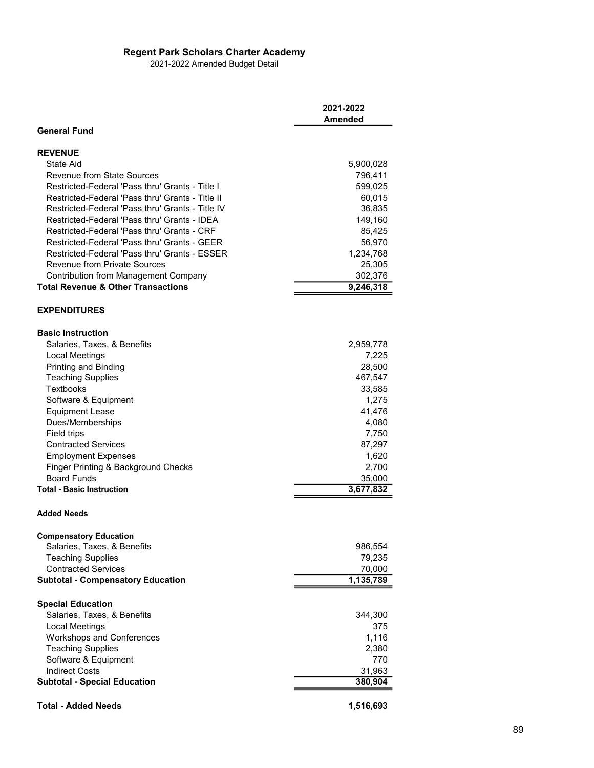## Regent Park Scholars Charter Academy

| <b>Regent Park Scholars Charter Academy</b>                                                 |                      |
|---------------------------------------------------------------------------------------------|----------------------|
| 2021-2022 Amended Budget Detail                                                             |                      |
|                                                                                             |                      |
|                                                                                             |                      |
|                                                                                             | 2021-2022<br>Amended |
| <b>General Fund</b>                                                                         |                      |
|                                                                                             |                      |
| <b>REVENUE</b><br>State Aid                                                                 | 5,900,028            |
| <b>Revenue from State Sources</b><br>Restricted-Federal 'Pass thru' Grants - Title I        | 796,411              |
| Restricted-Federal 'Pass thru' Grants - Title II                                            | 599,025<br>60,015    |
| Restricted-Federal 'Pass thru' Grants - Title IV                                            | 36,835               |
| Restricted-Federal 'Pass thru' Grants - IDEA<br>Restricted-Federal 'Pass thru' Grants - CRF | 149,160<br>85,425    |
| Restricted-Federal 'Pass thru' Grants - GEER                                                | 56,970               |
| Restricted-Federal 'Pass thru' Grants - ESSER                                               | 1,234,768            |
| Revenue from Private Sources<br><b>Contribution from Management Company</b>                 | 25,305<br>302,376    |
| <b>Total Revenue &amp; Other Transactions</b>                                               | 9,246,318            |
| <b>EXPENDITURES</b>                                                                         |                      |
| <b>Basic Instruction</b>                                                                    |                      |
| Salaries, Taxes, & Benefits                                                                 | 2,959,778            |
| <b>Local Meetings</b><br>Printing and Binding                                               | 7,225<br>28,500      |
| <b>Teaching Supplies</b>                                                                    | 467,547              |
| Textbooks                                                                                   | 33,585               |
| Software & Equipment                                                                        | 1,275                |
| <b>Equipment Lease</b><br>Dues/Memberships                                                  | 41,476<br>4,080      |
| Field trips                                                                                 | 7,750                |
| <b>Contracted Services</b>                                                                  | 87,297               |
| <b>Employment Expenses</b>                                                                  | 1,620                |
| Finger Printing & Background Checks<br><b>Board Funds</b>                                   | 2,700<br>35,000      |
| <b>Total - Basic Instruction</b>                                                            | 3,677,832            |
| <b>Added Needs</b>                                                                          |                      |
| <b>Compensatory Education</b>                                                               |                      |
| Salaries, Taxes, & Benefits                                                                 | 986,554              |
| <b>Teaching Supplies</b><br><b>Contracted Services</b>                                      | 79,235<br>70,000     |
| <b>Subtotal - Compensatory Education</b>                                                    | 1,135,789            |
| <b>Special Education</b>                                                                    |                      |
| Salaries, Taxes, & Benefits                                                                 | 344,300              |
| <b>Local Meetings</b>                                                                       | 375                  |
| Workshops and Conferences<br><b>Teaching Supplies</b>                                       | 1,116<br>2,380       |
| Software & Equipment                                                                        | 770                  |
| <b>Indirect Costs</b>                                                                       | 31,963               |
| <b>Subtotal - Special Education</b>                                                         | 380,904              |
| <b>Total - Added Needs</b>                                                                  | 1,516,693            |
|                                                                                             |                      |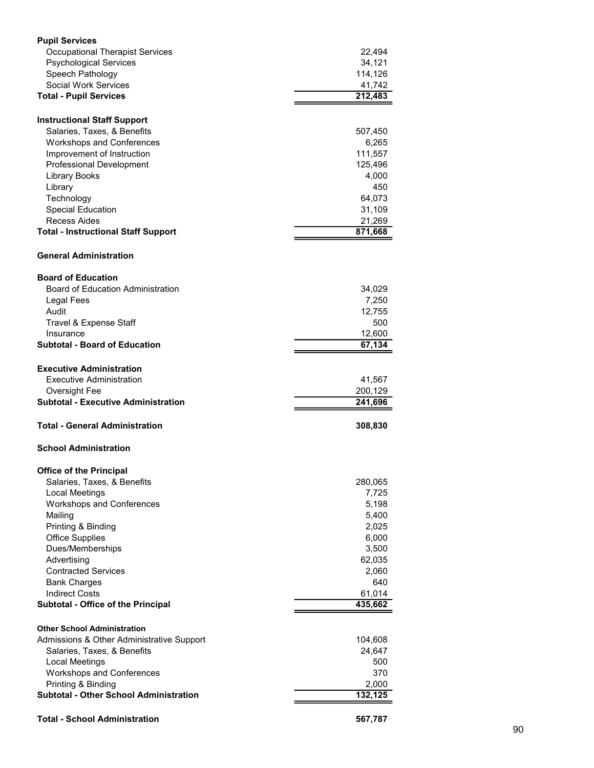| <b>Pupil Services</b>                                                           |                    |    |
|---------------------------------------------------------------------------------|--------------------|----|
| <b>Occupational Therapist Services</b><br><b>Psychological Services</b>         | 22,494<br>34,121   |    |
| Speech Pathology<br><b>Social Work Services</b>                                 | 114,126<br>41,742  |    |
| <b>Total - Pupil Services</b>                                                   | 212,483            |    |
| <b>Instructional Staff Support</b><br>Salaries, Taxes, & Benefits               | 507,450            |    |
| Workshops and Conferences                                                       | 6,265              |    |
| Improvement of Instruction<br>Professional Development                          | 111,557<br>125,496 |    |
| Library Books<br>Library                                                        | 4,000<br>450       |    |
| Technology                                                                      | 64,073             |    |
| <b>Special Education</b><br>Recess Aides                                        | 31,109<br>21,269   |    |
| <b>Total - Instructional Staff Support</b>                                      | 871,668            |    |
| <b>General Administration</b>                                                   |                    |    |
| <b>Board of Education</b><br><b>Board of Education Administration</b>           | 34,029             |    |
| Legal Fees                                                                      | 7,250              |    |
| Audit<br>Travel & Expense Staff                                                 | 12,755<br>500      |    |
| Insurance<br><b>Subtotal - Board of Education</b>                               | 12,600<br>67,134   |    |
| <b>Executive Administration</b>                                                 |                    |    |
| <b>Executive Administration</b><br>Oversight Fee                                | 41,567<br>200,129  |    |
| <b>Subtotal - Executive Administration</b>                                      | 241,696            |    |
| <b>Total - General Administration</b>                                           | 308,830            |    |
| <b>School Administration</b>                                                    |                    |    |
| <b>Office of the Principal</b><br>Salaries, Taxes, & Benefits                   | 280,065            |    |
| Local Meetings<br>Workshops and Conferences                                     | 7,725<br>5,198     |    |
| Mailing                                                                         | 5,400              |    |
| Printing & Binding<br><b>Office Supplies</b>                                    | 2,025<br>6,000     |    |
| Dues/Memberships<br>Advertising                                                 | 3,500<br>62,035    |    |
| <b>Contracted Services</b>                                                      | 2,060              |    |
| <b>Bank Charges</b><br><b>Indirect Costs</b>                                    | 640<br>61,014      |    |
| Subtotal - Office of the Principal                                              | 435,662            |    |
| <b>Other School Administration</b><br>Admissions & Other Administrative Support | 104,608            |    |
| Salaries, Taxes, & Benefits                                                     | 24,647             |    |
| Local Meetings<br>Workshops and Conferences                                     | 500<br>370         |    |
| Printing & Binding<br><b>Subtotal - Other School Administration</b>             | 2,000<br>132,125   |    |
| <b>Total - School Administration</b>                                            | 567,787            |    |
|                                                                                 |                    | 90 |
|                                                                                 |                    |    |
|                                                                                 |                    |    |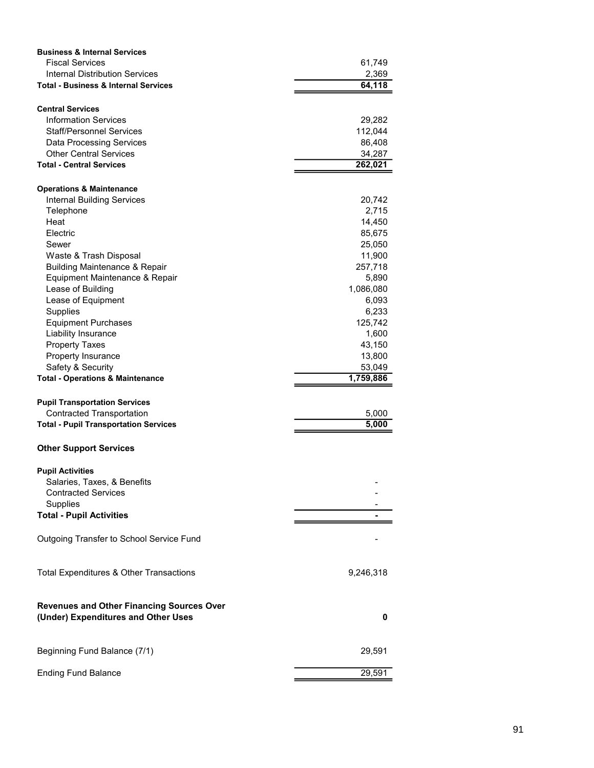| <b>Business &amp; Internal Services</b>                                                 |                     |
|-----------------------------------------------------------------------------------------|---------------------|
| <b>Fiscal Services</b><br><b>Internal Distribution Services</b>                         | 61,749<br>2,369     |
| <b>Total - Business &amp; Internal Services</b>                                         | 64,118              |
|                                                                                         |                     |
| <b>Central Services</b><br><b>Information Services</b>                                  | 29,282              |
| <b>Staff/Personnel Services</b>                                                         | 112,044             |
| Data Processing Services<br><b>Other Central Services</b>                               | 86,408<br>34,287    |
| <b>Total - Central Services</b>                                                         | 262,021             |
| <b>Operations &amp; Maintenance</b>                                                     |                     |
| <b>Internal Building Services</b>                                                       | 20,742              |
| Telephone<br>Heat                                                                       | 2,715<br>14,450     |
| Electric                                                                                | 85,675              |
| Sewer<br>Waste & Trash Disposal                                                         | 25,050<br>11,900    |
| <b>Building Maintenance &amp; Repair</b>                                                | 257,718             |
| Equipment Maintenance & Repair                                                          | 5,890               |
| Lease of Building<br>Lease of Equipment                                                 | 1,086,080<br>6,093  |
| Supplies                                                                                | 6,233               |
| <b>Equipment Purchases</b>                                                              | 125,742<br>1,600    |
| Liability Insurance<br><b>Property Taxes</b>                                            | 43,150              |
| Property Insurance                                                                      | 13,800              |
| Safety & Security<br><b>Total - Operations &amp; Maintenance</b>                        | 53,049<br>1,759,886 |
| <b>Pupil Transportation Services</b>                                                    |                     |
| <b>Contracted Transportation</b>                                                        | 5,000               |
| <b>Total - Pupil Transportation Services</b>                                            | 5,000               |
| <b>Other Support Services</b>                                                           |                     |
| <b>Pupil Activities</b>                                                                 |                     |
| Salaries, Taxes, & Benefits<br><b>Contracted Services</b>                               |                     |
| Supplies                                                                                |                     |
| <b>Total - Pupil Activities</b>                                                         |                     |
| Outgoing Transfer to School Service Fund                                                |                     |
| Total Expenditures & Other Transactions                                                 | 9,246,318           |
| <b>Revenues and Other Financing Sources Over</b><br>(Under) Expenditures and Other Uses | $\pmb{0}$           |
|                                                                                         |                     |
| Beginning Fund Balance (7/1)                                                            | 29,591              |
| <b>Ending Fund Balance</b>                                                              | 29,591              |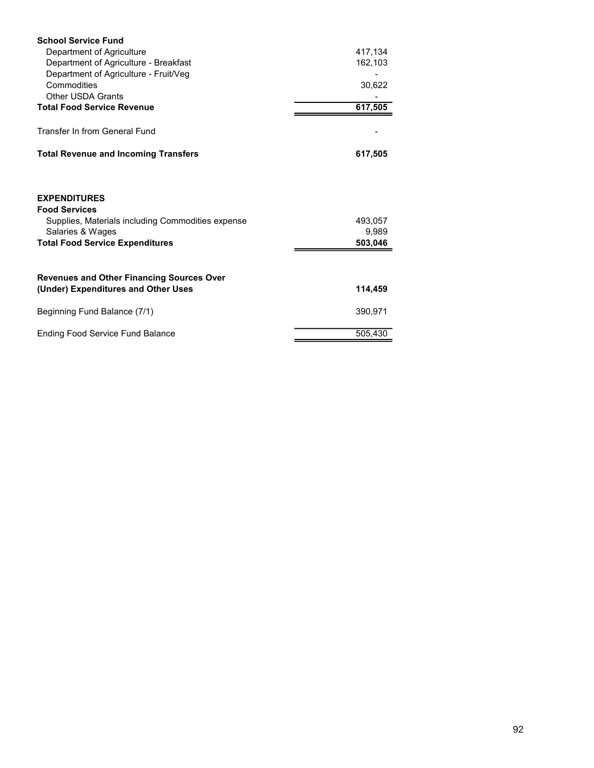| <b>School Service Fund</b>                                                              |                           |
|-----------------------------------------------------------------------------------------|---------------------------|
| Department of Agriculture<br>Department of Agriculture - Breakfast                      | 417,134<br>162,103        |
| Department of Agriculture - Fruit/Veg<br>Commodities                                    | 30,622                    |
| Other USDA Grants<br><b>Total Food Service Revenue</b>                                  | $\blacksquare$<br>617,505 |
| Transfer In from General Fund                                                           |                           |
| <b>Total Revenue and Incoming Transfers</b>                                             | 617,505                   |
| <b>EXPENDITURES</b>                                                                     |                           |
| <b>Food Services</b><br>Supplies, Materials including Commodities expense               | 493,057                   |
| Salaries & Wages<br><b>Total Food Service Expenditures</b>                              | 9,989<br>503,046          |
| <b>Revenues and Other Financing Sources Over</b><br>(Under) Expenditures and Other Uses | 114,459                   |
| Beginning Fund Balance (7/1)                                                            | 390,971                   |
| <b>Ending Food Service Fund Balance</b>                                                 | 505,430                   |
|                                                                                         |                           |
|                                                                                         |                           |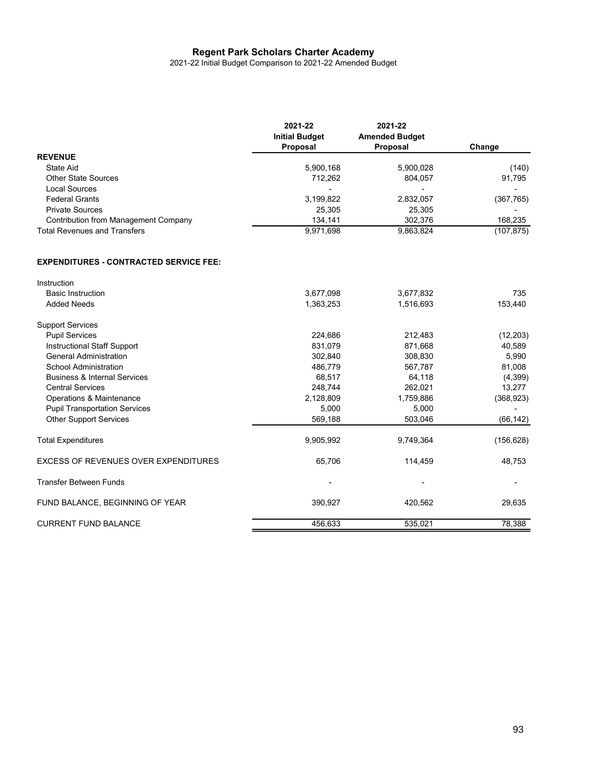## Regent Park Scholars Charter Academy

|                                                | 2021-22<br><b>Initial Budget</b><br>Proposal | 2021-22<br><b>Amended Budget</b><br>Proposal | Change                   |
|------------------------------------------------|----------------------------------------------|----------------------------------------------|--------------------------|
| <b>REVENUE</b>                                 |                                              |                                              |                          |
| State Aid                                      | 5,900,168                                    | 5,900,028                                    | (140)                    |
| Other State Sources                            | 712,262                                      | 804,057                                      | 91,795                   |
| <b>Local Sources</b>                           | $\sim$                                       | $\overline{a}$                               | $\sim$                   |
| <b>Federal Grants</b>                          | 3,199,822                                    | 2,832,057                                    | (367, 765)               |
| <b>Private Sources</b>                         | 25,305                                       | 25,305                                       | $\sim$                   |
| <b>Contribution from Management Company</b>    | 134,141                                      | 302,376                                      | 168,235                  |
| <b>Total Revenues and Transfers</b>            | 9,971,698                                    | 9,863,824                                    | (107, 875)               |
| <b>EXPENDITURES - CONTRACTED SERVICE FEE:</b>  |                                              |                                              |                          |
| Instruction                                    |                                              |                                              |                          |
|                                                |                                              |                                              |                          |
| <b>Basic Instruction</b><br><b>Added Needs</b> | 3,677,098<br>1,363,253                       | 3,677,832<br>1,516,693                       | 735<br>153,440           |
|                                                |                                              |                                              |                          |
| <b>Support Services</b>                        |                                              |                                              |                          |
| <b>Pupil Services</b>                          | 224,686                                      | 212,483                                      | (12, 203)                |
| <b>Instructional Staff Support</b>             | 831,079                                      | 871,668                                      | 40,589                   |
| <b>General Administration</b>                  | 302,840                                      | 308,830                                      | 5,990                    |
| School Administration                          | 486,779                                      | 567,787                                      | 81,008                   |
| <b>Business &amp; Internal Services</b>        | 68,517                                       | 64,118                                       | (4, 399)                 |
| <b>Central Services</b>                        | 248,744                                      | 262,021                                      | 13,277                   |
| Operations & Maintenance                       | 2,128,809                                    | 1,759,886                                    | (368, 923)               |
| <b>Pupil Transportation Services</b>           | 5,000                                        | 5,000                                        | $\blacksquare$           |
| <b>Other Support Services</b>                  | 569,188                                      | 503,046                                      | (66, 142)                |
| <b>Total Expenditures</b>                      | 9,905,992                                    | 9,749,364                                    | (156, 628)               |
| EXCESS OF REVENUES OVER EXPENDITURES           | 65,706                                       | 114,459                                      | 48,753                   |
| Transfer Between Funds                         | $\overline{\phantom{a}}$                     |                                              | $\overline{\phantom{a}}$ |
| FUND BALANCE, BEGINNING OF YEAR                | 390,927                                      | 420,562                                      | 29,635                   |
|                                                | 456,633                                      | 535,021                                      | 78,388                   |